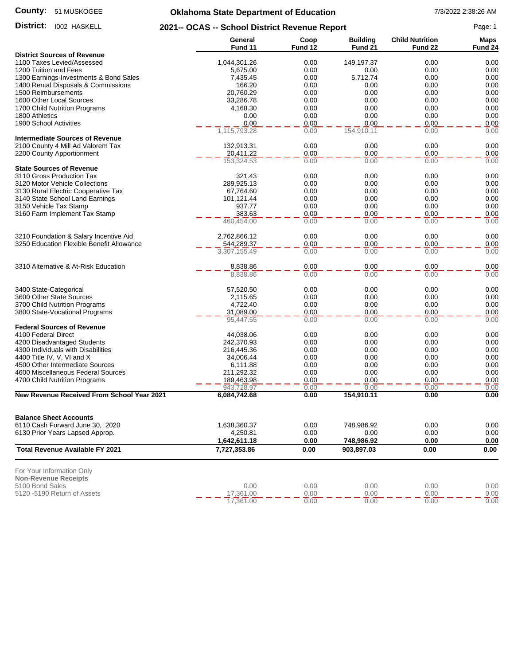#### **County:** 51 MUSKOGEE

# **Oklahoma State Department of Education** 7/3/2022 2:38:26 AM

District: 1002 HASKELL

**District:** 1002 HASKELL **2021-- OCAS -- School District Revenue Report** Page: 1

|                                                              | General              | Coop         | <b>Building</b> | <b>Child Nutrition</b> | <b>Maps</b>        |
|--------------------------------------------------------------|----------------------|--------------|-----------------|------------------------|--------------------|
| <b>District Sources of Revenue</b>                           | Fund 11              | Fund 12      | Fund 21         | Fund 22                | Fund <sub>24</sub> |
| 1100 Taxes Levied/Assessed                                   | 1,044,301.26         | 0.00         | 149,197.37      | 0.00                   | 0.00               |
| 1200 Tuition and Fees                                        | 5,675.00             | 0.00         | 0.00            | 0.00                   | 0.00               |
| 1300 Earnings-Investments & Bond Sales                       | 7,435.45             | 0.00         | 5,712.74        | 0.00                   | 0.00               |
| 1400 Rental Disposals & Commissions                          | 166.20               | 0.00         | 0.00            | 0.00                   | 0.00               |
| 1500 Reimbursements                                          | 20,760.29            | 0.00         | 0.00            | 0.00                   | 0.00               |
| 1600 Other Local Sources                                     | 33,286.78            | 0.00         | 0.00            | 0.00                   | 0.00               |
| 1700 Child Nutrition Programs                                | 4,168.30             | 0.00         | 0.00            | 0.00                   | 0.00               |
| 1800 Athletics                                               | 0.00                 | 0.00         | 0.00            | 0.00                   | 0.00               |
| 1900 School Activities                                       | 0.00                 | 0.00         | 0.00            | 0.00                   | 0.00               |
|                                                              | 1,115,793.28         | 0.00         | 154,910.11      | 0.00                   | 0.00               |
| <b>Intermediate Sources of Revenue</b>                       |                      |              |                 |                        |                    |
| 2100 County 4 Mill Ad Valorem Tax                            | 132,913.31           | 0.00         | 0.00            | 0.00                   | 0.00               |
| 2200 County Apportionment                                    | 20,411.22            | 0.00         | 0.00            | 0.00                   | 0.00               |
|                                                              | 153,324.53           | 0.00         | 0.00            | 0.00                   | 0.00               |
| <b>State Sources of Revenue</b><br>3110 Gross Production Tax |                      |              |                 |                        |                    |
|                                                              | 321.43               | 0.00         | 0.00            | 0.00                   | 0.00               |
| 3120 Motor Vehicle Collections                               | 289,925.13           | 0.00         | 0.00            | 0.00                   | 0.00               |
| 3130 Rural Electric Cooperative Tax                          | 67,764.60            | 0.00         | 0.00            | 0.00                   | 0.00               |
| 3140 State School Land Earnings                              | 101,121.44<br>937.77 | 0.00         | 0.00            | 0.00                   | 0.00<br>0.00       |
| 3150 Vehicle Tax Stamp                                       |                      | 0.00<br>0.00 | 0.00<br>0.00    | 0.00                   |                    |
| 3160 Farm Implement Tax Stamp                                | 383.63<br>460,454.00 | 0.00         | 0.00            | 0.00<br>0.00           | 0.00<br>0.00       |
|                                                              |                      |              |                 |                        |                    |
| 3210 Foundation & Salary Incentive Aid                       | 2,762,866.12         | 0.00         | 0.00            | 0.00                   | 0.00               |
| 3250 Education Flexible Benefit Allowance                    | 544,289.37           | 0.00         | 0.00            | 0.00                   | 0.00               |
|                                                              | 3,307,155.49         | 0.00         | 0.00            | 0.00                   | 0.00               |
|                                                              |                      |              |                 |                        |                    |
| 3310 Alternative & At-Risk Education                         | 8,838.86             | 0.00         | 0.00            | 0.00                   | 0.00               |
|                                                              | 8,838.86             | 0.00         | 0.00            | 0.00                   | 0.00               |
| 3400 State-Categorical                                       | 57,520.50            | 0.00         | 0.00            | 0.00                   | 0.00               |
| 3600 Other State Sources                                     | 2,115.65             | 0.00         | 0.00            | 0.00                   | 0.00               |
| 3700 Child Nutrition Programs                                | 4,722.40             | 0.00         | 0.00            | 0.00                   | 0.00               |
| 3800 State-Vocational Programs                               | 31,089.00            | 0.00         | 0.00            | 0.00                   | 0.00               |
|                                                              | 95,447.55            | 0.00         | 0.00            | 0.00                   | 0.00               |
| <b>Federal Sources of Revenue</b>                            |                      |              |                 |                        |                    |
| 4100 Federal Direct                                          | 44,038.06            | 0.00         | 0.00            | 0.00                   | 0.00               |
| 4200 Disadvantaged Students                                  | 242,370.93           | 0.00         | 0.00            | 0.00                   | 0.00               |
| 4300 Individuals with Disabilities                           | 216,445.36           | 0.00         | 0.00            | 0.00                   | 0.00               |
| 4400 Title IV, V, VI and X                                   | 34,006.44            | 0.00         | 0.00            | 0.00                   | 0.00               |
| 4500 Other Intermediate Sources                              | 6,111.88             | 0.00         | 0.00            | 0.00                   | 0.00               |
| 4600 Miscellaneous Federal Sources                           | 211,292.32           | 0.00         | 0.00            | 0.00                   | 0.00               |
| 4700 Child Nutrition Programs                                | 189,463.98           | 0.00         | 0.00            | 0.00                   | 0.00               |
|                                                              | 943,728.97           | 0.00         | 0.00            | 0.00                   | 0.00               |
| New Revenue Received From School Year 2021                   | 6,084,742.68         | 0.00         | 154,910.11      | 0.00                   | 0.00               |
| <b>Balance Sheet Accounts</b>                                |                      |              |                 |                        |                    |
| 6110 Cash Forward June 30, 2020                              | 1,638,360.37         | 0.00         | 748,986.92      | 0.00                   | 0.00               |
| 6130 Prior Years Lapsed Approp.                              | 4,250.81             | 0.00         | 0.00            | 0.00                   | 0.00               |
|                                                              | 1,642,611.18         | 0.00         | 748,986.92      | 0.00                   | 0.00               |
| <b>Total Revenue Available FY 2021</b>                       | 7,727,353.86         | 0.00         | 903,897.03      | 0.00                   | 0.00               |
|                                                              |                      |              |                 |                        |                    |
| For Your Information Only                                    |                      |              |                 |                        |                    |
| <b>Non-Revenue Receipts</b><br>5100 Bond Sales               | 0.00                 | 0.00         | 0.00            | 0.00                   | 0.00               |
| 5120 -5190 Return of Assets                                  | 17,361.00            | 0.00         | 0.00            | 0.00                   | 0.00               |
|                                                              | 17,361.00            | 0.00         | 0.00            | 0.00                   | 0.00               |
|                                                              |                      |              |                 |                        |                    |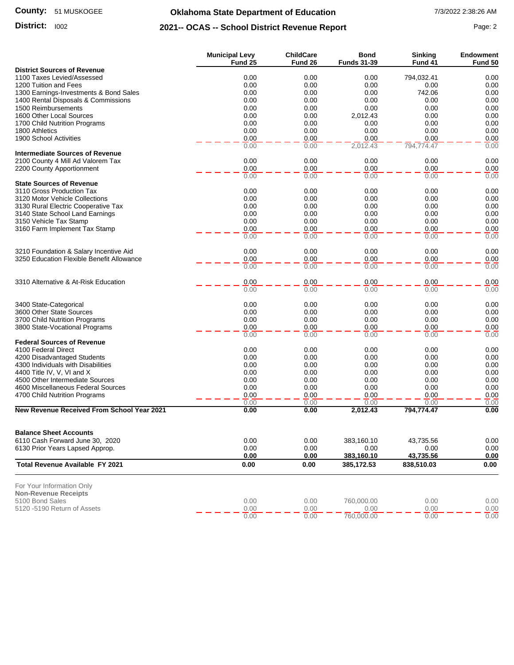#### **County:** 51 MUSKOGEE

## **Oklahoma State Department of Education** 7/3/2022 2:38:26 AM

### **District:** 1002 **Page: 2 2021-- OCAS -- School District Revenue Report** Page: 2

|                                                               | <b>Municipal Levy</b> | <b>ChildCare</b><br>Fund 26 | <b>Bond</b>        | <b>Sinking</b> | <b>Endowment</b> |
|---------------------------------------------------------------|-----------------------|-----------------------------|--------------------|----------------|------------------|
| <b>District Sources of Revenue</b>                            | Fund 25               |                             | <b>Funds 31-39</b> | Fund 41        | Fund 50          |
| 1100 Taxes Levied/Assessed                                    | 0.00                  | 0.00                        | 0.00               | 794,032.41     | 0.00             |
| 1200 Tuition and Fees                                         | 0.00                  | 0.00                        | 0.00               | 0.00           | 0.00             |
| 1300 Earnings-Investments & Bond Sales                        | 0.00                  | 0.00                        | 0.00               | 742.06         | 0.00             |
| 1400 Rental Disposals & Commissions                           | 0.00                  | 0.00                        | 0.00               | 0.00           | 0.00             |
| 1500 Reimbursements                                           | 0.00                  | 0.00                        | 0.00               | 0.00           | 0.00             |
| 1600 Other Local Sources                                      | 0.00                  | 0.00                        | 2,012.43           | 0.00           | 0.00             |
| 1700 Child Nutrition Programs                                 | 0.00                  | 0.00                        | 0.00               | 0.00           | 0.00             |
| 1800 Athletics                                                | 0.00                  | 0.00                        | 0.00               | 0.00           | 0.00             |
| 1900 School Activities                                        | 0.00                  | 0.00                        | 0.00               | 0.00           | 0.00<br>0.00     |
| <b>Intermediate Sources of Revenue</b>                        | 0.00                  | 0.00                        | 2,012.43           | 794,774.47     |                  |
| 2100 County 4 Mill Ad Valorem Tax                             | 0.00                  | 0.00                        | 0.00               | 0.00           | 0.00             |
| 2200 County Apportionment                                     | 0.00                  | 0.00                        | 0.00               | 0.00           | 0.00             |
|                                                               | 0.00                  | 0.00                        | 0.00               | 0.00           | 0.00             |
| <b>State Sources of Revenue</b>                               |                       |                             |                    |                |                  |
| 3110 Gross Production Tax                                     | 0.00                  | 0.00                        | 0.00               | 0.00           | 0.00             |
| 3120 Motor Vehicle Collections                                | 0.00                  | 0.00                        | 0.00               | 0.00           | 0.00             |
| 3130 Rural Electric Cooperative Tax                           | 0.00                  | 0.00                        | 0.00               | 0.00           | 0.00             |
| 3140 State School Land Earnings                               | 0.00                  | 0.00                        | 0.00               | 0.00           | 0.00             |
| 3150 Vehicle Tax Stamp                                        | 0.00                  | 0.00                        | 0.00               | 0.00           | 0.00             |
| 3160 Farm Implement Tax Stamp                                 | 0.00                  | 0.00                        | 0.00               | 0.00           | 0.00             |
|                                                               | 0.00                  | 0.00                        | 0.00               | 0.00           | 0.00             |
| 3210 Foundation & Salary Incentive Aid                        | 0.00                  | 0.00                        | 0.00               | 0.00           | 0.00             |
| 3250 Education Flexible Benefit Allowance                     | 0.00                  | 0.00                        | 0.00               | 0.00           | 0.00             |
|                                                               | 0.00                  | 0.00                        | 0.00               | 0.00           | 0.00             |
|                                                               |                       |                             |                    |                |                  |
| 3310 Alternative & At-Risk Education                          | 0.00<br>0.00          | 0.00<br>0.00                | 0.00<br>0.00       | 0.00<br>0.00   | 0.00<br>0.00     |
|                                                               |                       |                             |                    |                |                  |
| 3400 State-Categorical                                        | 0.00                  | 0.00                        | 0.00               | 0.00           | 0.00             |
| 3600 Other State Sources                                      | 0.00                  | 0.00                        | 0.00               | 0.00           | 0.00             |
| 3700 Child Nutrition Programs                                 | 0.00                  | 0.00                        | 0.00               | 0.00           | 0.00             |
| 3800 State-Vocational Programs                                | 0.00                  | 0.00                        | 0.00               | 0.00           | 0.00             |
|                                                               | 0.00                  | 0.00                        | 0.00               | 0.00           | 0.00             |
| <b>Federal Sources of Revenue</b>                             |                       |                             |                    |                |                  |
| 4100 Federal Direct                                           | 0.00                  | 0.00                        | 0.00               | 0.00           | 0.00             |
| 4200 Disadvantaged Students                                   | 0.00                  | 0.00                        | 0.00               | 0.00           | 0.00             |
| 4300 Individuals with Disabilities                            | 0.00                  | 0.00                        | 0.00               | 0.00           | 0.00             |
| 4400 Title IV, V, VI and X<br>4500 Other Intermediate Sources | 0.00                  | 0.00<br>0.00                | 0.00<br>0.00       | 0.00           | 0.00<br>0.00     |
| 4600 Miscellaneous Federal Sources                            | 0.00<br>0.00          | 0.00                        | 0.00               | 0.00<br>0.00   | 0.00             |
| 4700 Child Nutrition Programs                                 | 0.00                  | 0.00                        | 0.00               | 0.00           | 0.00             |
|                                                               | 0.00                  | 0.00                        | 0.00               | 0.00           | 0.00             |
| New Revenue Received From School Year 2021                    | 0.00                  | 0.00                        | 2,012.43           | 794,774.47     | 0.00             |
|                                                               |                       |                             |                    |                |                  |
| <b>Balance Sheet Accounts</b>                                 |                       |                             |                    |                |                  |
| 6110 Cash Forward June 30, 2020                               | 0.00                  | 0.00                        | 383,160.10         | 43,735.56      | 0.00             |
| 6130 Prior Years Lapsed Approp.                               | 0.00                  | 0.00                        | 0.00               | 0.00           | 0.00             |
|                                                               | 0.00                  | 0.00                        | 383,160.10         | 43,735.56      | 0.00             |
| Total Revenue Available FY 2021                               | 0.00                  | 0.00                        | 385,172.53         | 838,510.03     | 0.00             |
|                                                               |                       |                             |                    |                |                  |
| For Your Information Only                                     |                       |                             |                    |                |                  |
| <b>Non-Revenue Receipts</b>                                   |                       |                             |                    |                |                  |
| 5100 Bond Sales                                               | 0.00                  | 0.00                        | 760,000.00         | 0.00           | 0.00             |
| 5120 -5190 Return of Assets                                   | 0.00                  | 0.00                        | 0.00               | 0.00           | 0.00             |
|                                                               | 0.00                  | 0.00                        | 760,000.00         | 0.00           | 0.00             |